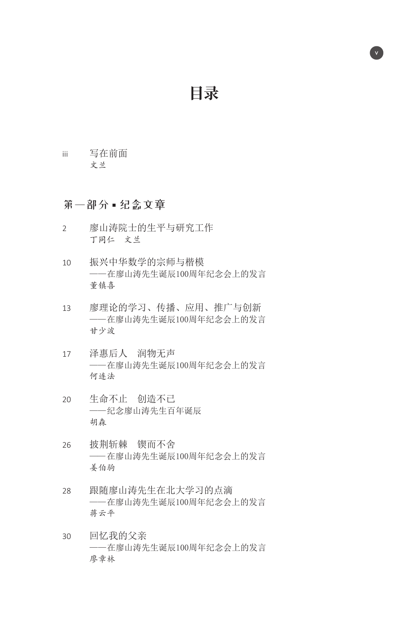**目录**

v

iii 写在前面 文兰

## 第一部分**■**纪念文章

- 2 廖山涛院士的生平与研究工作 丁同仁 文兰
- 10 振兴中华数学的宗师与楷模 ——在廖山涛先生诞辰100周年纪念会上的发言 董镇喜
- 13 廖理论的学习、传播、应用、推广与创新 ——在廖山涛先生诞辰100周年纪念会上的发言 甘少波
- 17 泽惠后人 润物无声 ——在廖山涛先生诞辰100周年纪念会上的发言 何连法
- 20 生命不止 创造不已 ——纪念廖山涛先生百年诞辰 胡森
- 26 披荆斩棘 锲而不舍 ——在廖山涛先生诞辰100周年纪念会上的发言 姜伯驹
- 28 跟随廖山涛先生在北大学习的点滴 ——在廖山涛先生诞辰100周年纪念会上的发言 蒋云平
- 30 回忆我的父亲 ——在廖山涛先生诞辰100周年纪念会上的发言 廖章林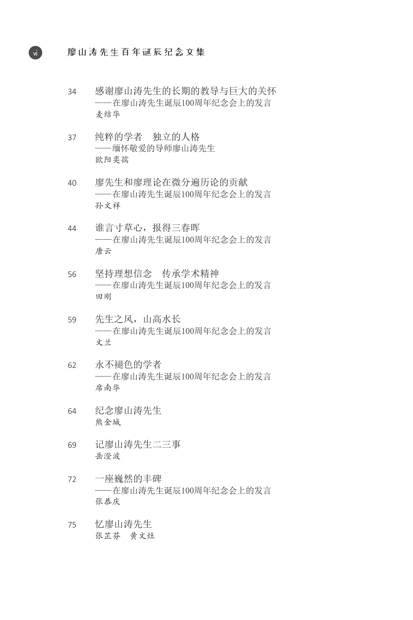vi 廖山涛先生百年诞辰纪念文集

- 34 感谢廖山涛先生的长期的教导与巨大的关怀 ——在廖山涛先生诞辰100周年纪念会上的发言 麦结华
- 37 纯粹的学者 独立的人格 ——缅怀敬爱的导师廖山涛先生 欧阳奕孺
- 40 廖先生和廖理论在微分遍历论的贡献 ——在廖山涛先生诞辰100周年纪念会上的发言 孙文祥
- 44 谁言寸草心,报得三春晖 ——在廖山涛先生诞辰100周年纪念会上的发言 唐云
- 56 坚持理想信念 传承学术精神 ——在廖山涛先生诞辰100周年纪念会上的发言 田刚
- 59 先生之风,山高水长 ——在廖山涛先生诞辰100周年纪念会上的发言 文兰
- 62 永不褪色的学者 ——在廖山涛先生诞辰100周年纪念会上的发言 席南华
- 64 纪念廖山涛先生 熊金城
- 69 记廖山涛先生二三事 岳澄波
- 72 一座巍然的丰碑 ——在廖山涛先生诞辰100周年纪念会上的发言 张恭庆
- 75 忆廖山涛先生 张芷芬 黄文灶